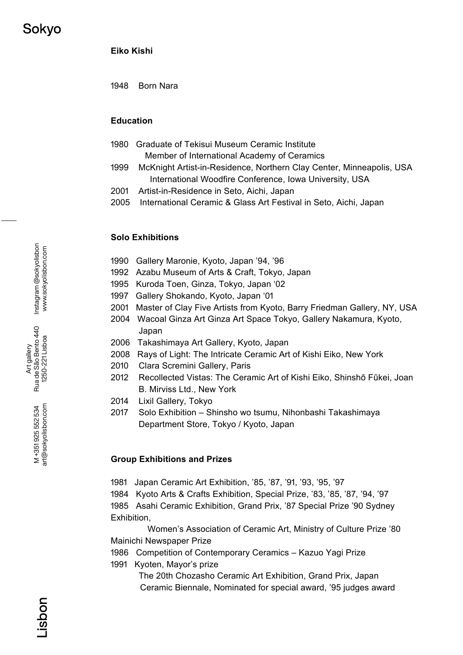**Eiko Kishi**

1948 Born Nara

### **Education**

- 1980 Graduate of Tekisui Museum Ceramic Institute Member of International Academy of Ceramics
- 1999 McKnight Artist-in-Residence, Northern Clay Center, Minneapolis, USA International Woodfire Conference, Iowa University, USA
- 2001 Artist-in-Residence in Seto, Aichi, Japan
- 2005 International Ceramic & Glass Art Festival in Seto, Aichi, Japan

#### **Solo Exhibitions**

- 1990 Gallery Maronie, Kyoto, Japan '94, '96
- 1992 Azabu Museum of Arts & Craft, Tokyo, Japan
- 1995 Kuroda Toen, Ginza, Tokyo, Japan '02
- 1997 Gallery Shokando, Kyoto, Japan '01
- 2001 Master of Clay Five Artists from Kyoto, Barry Friedman Gallery, NY, USA
- 2004 Wacoal Ginza Art Ginza Art Space Tokyo, Gallery Nakamura, Kyoto, Japan
- 2006 Takashimaya Art Gallery, Kyoto, Japan
- 2008 Rays of Light: The Intricate Ceramic Art of Kishi Eiko, New York
- 2010 Clara Scremini Gallery, Paris
- 2012 Recollected Vistas: The Ceramic Art of Kishi Eiko, Shinshō Fūkei, Joan B. Mirviss Ltd., New York
- 2014 Lixil Gallery, Tokyo
- 2017 Solo Exhibition Shinsho wo tsumu, Nihonbashi Takashimaya Department Store, Tokyo / Kyoto, Japan

#### **Group Exhibitions and Prizes**

1981 Japan Ceramic Art Exhibition, '85, '87, '91, '93, '95, '97

1984 Kyoto Arts & Crafts Exhibition, Special Prize, '83, '85, '87, '94, '97 1985 Asahi Ceramic Exhibition, Grand Prix, '87 Special Prize '90 Sydney Exhibition,

Women's Association of Ceramic Art, Ministry of Culture Prize '80 Mainichi Newspaper Prize

1986 Competition of Contemporary Ceramics - Kazuo Yagi Prize

1991 Kyoten, Mayor's prize

The 20th Chozasho Ceramic Art Exhibition, Grand Prix, Japan Ceramic Biennale, Nominated for special award, '95 judges award

Art gallery<br>Rua de São Bento 440<br>1250-221 Lisboa Rua de São Bento 440 1250-221 Lisboa

> art@sokyolisbon.com art@sokyolisbon.com M+351925552534 M +351 925 552 534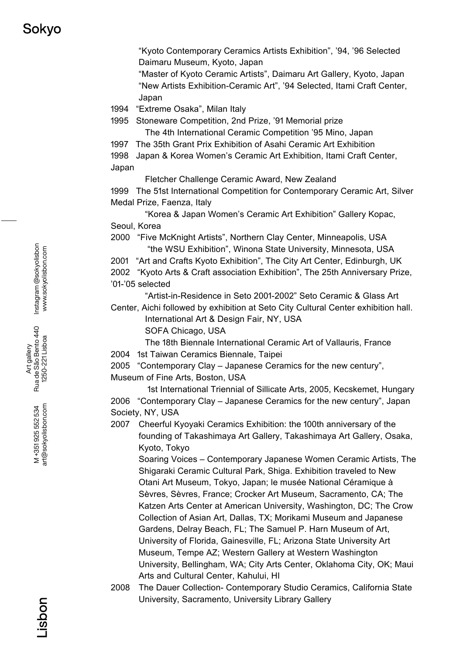"Kyoto Contemporary Ceramics Artists Exhibition", '94, '96 Selected Daimaru Museum, Kyoto, Japan

"Master of Kyoto Ceramic Artists", Daimaru Art Gallery, Kyoto, Japan "New Artists Exhibition-Ceramic Art", '94 Selected, Itami Craft Center, Japan

1994 "Extreme Osaka", Milan Italy

1995 Stoneware Competition, 2nd Prize, '91 Memorial prize

The 4th International Ceramic Competition '95 Mino, Japan

1997 The 35th Grant Prix Exhibition of Asahi Ceramic Art Exhibition

1998 Japan & Korea Women's Ceramic Art Exhibition, Itami Craft Center, Japan

Fletcher Challenge Ceramic Award, New Zealand

1999 The 51st International Competition for Contemporary Ceramic Art, Silver Medal Prize, Faenza, Italy

 "Korea & Japan Women's Ceramic Art Exhibition" Gallery Kopac, Seoul, Korea

2000 "Five McKnight Artists", Northern Clay Center, Minneapolis, USA "the WSU Exhibition", Winona State University, Minnesota, USA

2001 "Art and Crafts Kyoto Exhibition", The City Art Center, Edinburgh, UK

2002 "Kyoto Arts & Craft association Exhibition", The 25th Anniversary Prize, '01-'05 selected

"Artist-in-Residence in Seto 2001-2002" Seto Ceramic & Glass Art

Center, Aichi followed by exhibition at Seto City Cultural Center exhibition hall. International Art & Design Fair, NY, USA

SOFA Chicago, USA

The 18th Biennale International Ceramic Art of Vallauris, France 2004 1st Taiwan Ceramics Biennale, Taipei

2005 "Contemporary Clay – Japanese Ceramics for the new century", Museum of Fine Arts, Boston, USA

1st International Triennial of Sillicate Arts, 2005, Kecskemet, Hungary 2006 "Contemporary Clay – Japanese Ceramics for the new century", Japan Society, NY, USA

2007 Cheerful Kyoyaki Ceramics Exhibition: the 100th anniversary of the founding of Takashimaya Art Gallery, Takashimaya Art Gallery, Osaka, Kyoto, Tokyo

Soaring Voices – Contemporary Japanese Women Ceramic Artists, The Shigaraki Ceramic Cultural Park, Shiga. Exhibition traveled to New Otani Art Museum, Tokyo, Japan; le musée National Céramique à Sèvres, Sèvres, France; Crocker Art Museum, Sacramento, CA; The Katzen Arts Center at American University, Washington, DC; The Crow Collection of Asian Art, Dallas, TX; Morikami Museum and Japanese Gardens, Delray Beach, FL; The Samuel P. Harn Museum of Art, University of Florida, Gainesville, FL; Arizona State University Art Museum, Tempe AZ; Western Gallery at Western Washington University, Bellingham, WA; City Arts Center, Oklahoma City, OK; Maui Arts and Cultural Center, Kahului, HI

2008 The Dauer Collection- Contemporary Studio Ceramics, California State University, Sacramento, University Library Gallery

Instagram @sokyolisbon Instagram @sokyolisbon www.sokyolisbon.com www.sokyolisbon.com

Art gallery<br>Rua de São Bento 440<br>1250-221 Lisboa Rua de São Bento 440 1250-221 Lisboa

> art@sokyolisbon.com art@sokyolisbon.com M +351925552534 M +351 925 552 534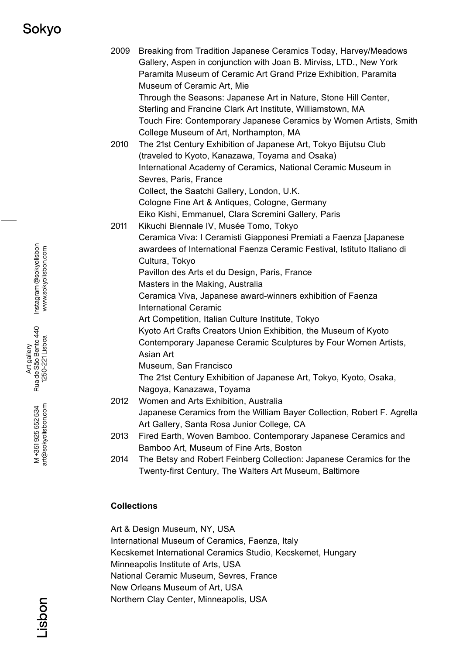# Sokvo

2009 Breaking from Tradition Japanese Ceramics Today, Harvey/Meadows Gallery, Aspen in conjunction with Joan B. Mirviss, LTD., New York Paramita Museum of Ceramic Art Grand Prize Exhibition, Paramita Museum of Ceramic Art, Mie Through the Seasons: Japanese Art in Nature, Stone Hill Center, Sterling and Francine Clark Art Institute, Williamstown, MA Touch Fire: Contemporary Japanese Ceramics by Women Artists, Smith College Museum of Art, Northampton, MA 2010 The 21st Century Exhibition of Japanese Art, Tokyo Bijutsu Club (traveled to Kyoto, Kanazawa, Toyama and Osaka) International Academy of Ceramics, National Ceramic Museum in Sevres, Paris, France Collect, the Saatchi Gallery, London, U.K. Cologne Fine Art & Antiques, Cologne, Germany Eiko Kishi, Emmanuel, Clara Scremini Gallery, Paris 2011 Kikuchi Biennale IV, Musée Tomo, Tokyo Ceramica Viva: I Ceramisti Giapponesi Premiati a Faenza [Japanese awardees of International Faenza Ceramic Festival, Istituto Italiano di Cultura, Tokyo Pavillon des Arts et du Design, Paris, France Masters in the Making, Australia Ceramica Viva, Japanese award-winners exhibition of Faenza International Ceramic Art Competition, Italian Culture Institute, Tokyo Kyoto Art Crafts Creators Union Exhibition, the Museum of Kyoto Contemporary Japanese Ceramic Sculptures by Four Women Artists, Asian Art Museum, San Francisco The 21st Century Exhibition of Japanese Art, Tokyo, Kyoto, Osaka, Nagoya, Kanazawa, Toyama 2012 Women and Arts Exhibition, Australia Japanese Ceramics from the William Bayer Collection, Robert F. Agrella Art Gallery, Santa Rosa Junior College, CA 2013 Fired Earth, Woven Bamboo. Contemporary Japanese Ceramics and Bamboo Art, Museum of Fine Arts, Boston 2014 The Betsy and Robert Feinberg Collection: Japanese Ceramics for the Twenty-first Century, The Walters Art Museum, Baltimore

### **Collections**

Art & Design Museum, NY, USA

International Museum of Ceramics, Faenza, Italy

Kecskemet International Ceramics Studio, Kecskemet, Hungary

Minneapolis Institute of Arts, USA

National Ceramic Museum, Sevres, France

New Orleans Museum of Art, USA

Northern Clay Center, Minneapolis, USA

Instagram @sokyolisbon Instagram @sokyolisbon www.sokyolisbon.com www.sokyolisbon.com

Art gallery<br>Rua de São Bento 440<br>1250-221 Lisboa Rua de São Bento 440 1250-221 Lisboa

> art@sokyolisbon.com art@sokyolisbon.com M+351925552534 M +351 925 552 534